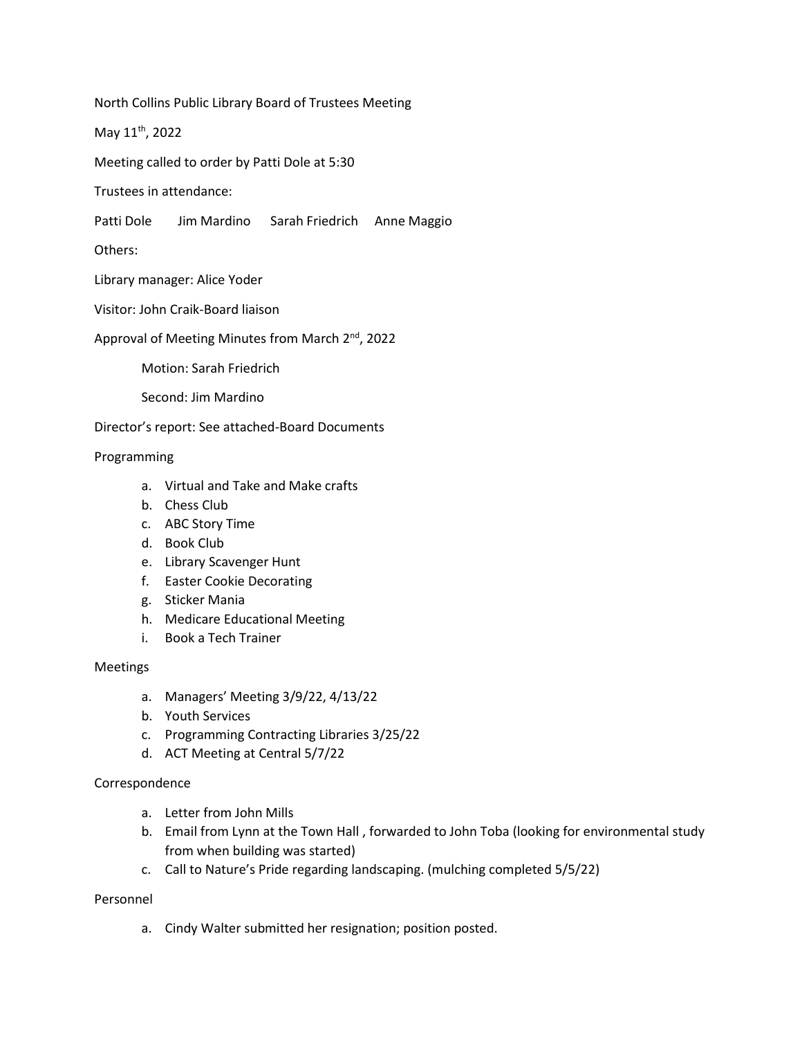North Collins Public Library Board of Trustees Meeting

May 11th, 2022

Meeting called to order by Patti Dole at 5:30

Trustees in attendance:

Patti Dole Jim Mardino Sarah Friedrich Anne Maggio

Others:

Library manager: Alice Yoder

Visitor: John Craik-Board liaison

Approval of Meeting Minutes from March 2<sup>nd</sup>, 2022

Motion: Sarah Friedrich

Second: Jim Mardino

Director's report: See attached-Board Documents

Programming

- a. Virtual and Take and Make crafts
- b. Chess Club
- c. ABC Story Time
- d. Book Club
- e. Library Scavenger Hunt
- f. Easter Cookie Decorating
- g. Sticker Mania
- h. Medicare Educational Meeting
- i. Book a Tech Trainer

Meetings

- a. Managers' Meeting 3/9/22, 4/13/22
- b. Youth Services
- c. Programming Contracting Libraries 3/25/22
- d. ACT Meeting at Central 5/7/22

Correspondence

- a. Letter from John Mills
- b. Email from Lynn at the Town Hall , forwarded to John Toba (looking for environmental study from when building was started)
- c. Call to Nature's Pride regarding landscaping. (mulching completed 5/5/22)

# Personnel

a. Cindy Walter submitted her resignation; position posted.